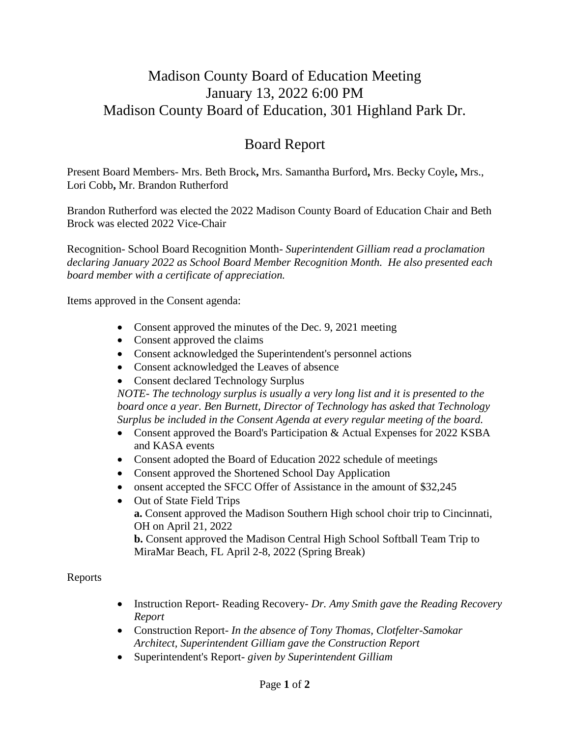## Madison County Board of Education Meeting January 13, 2022 6:00 PM Madison County Board of Education, 301 Highland Park Dr.

## Board Report

Present Board Members- Mrs. Beth Brock**,** Mrs. Samantha Burford**,** Mrs. Becky Coyle**,** Mrs., Lori Cobb**,** Mr. Brandon Rutherford

Brandon Rutherford was elected the 2022 Madison County Board of Education Chair and Beth Brock was elected 2022 Vice-Chair

Recognition- School Board Recognition Month- *Superintendent Gilliam read a proclamation declaring January 2022 as School Board Member Recognition Month. He also presented each board member with a certificate of appreciation.*

Items approved in the Consent agenda:

- Consent approved the minutes of the Dec. 9, 2021 meeting
- Consent approved the claims
- Consent acknowledged the Superintendent's personnel actions
- Consent acknowledged the Leaves of absence
- Consent declared Technology Surplus

*NOTE- The technology surplus is usually a very long list and it is presented to the board once a year. Ben Burnett, Director of Technology has asked that Technology Surplus be included in the Consent Agenda at every regular meeting of the board.*

- Consent approved the Board's Participation & Actual Expenses for 2022 KSBA and KASA events
- Consent adopted the Board of Education 2022 schedule of meetings
- Consent approved the Shortened School Day Application
- onsent accepted the SFCC Offer of Assistance in the amount of \$32,245
- Out of State Field Trips **a.** Consent approved the Madison Southern High school choir trip to Cincinnati, OH on April 21, 2022 **b.** Consent approved the Madison Central High School Softball Team Trip to MiraMar Beach, FL April 2-8, 2022 (Spring Break)

Reports

- Instruction Report- Reading Recovery- *Dr. Amy Smith gave the Reading Recovery Report*
- Construction Report- *In the absence of Tony Thomas, Clotfelter-Samokar Architect, Superintendent Gilliam gave the Construction Report*
- Superintendent's Report- *given by Superintendent Gilliam*